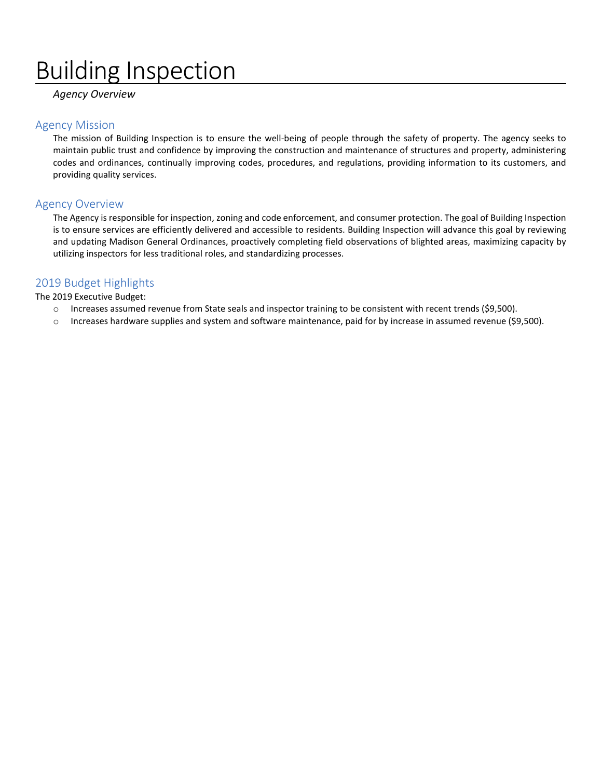# Building Inspection

*Agency Overview*

#### Agency Mission

The mission of Building Inspection is to ensure the well-being of people through the safety of property. The agency seeks to maintain public trust and confidence by improving the construction and maintenance of structures and property, administering codes and ordinances, continually improving codes, procedures, and regulations, providing information to its customers, and providing quality services.

#### Agency Overview

The Agency is responsible for inspection, zoning and code enforcement, and consumer protection. The goal of Building Inspection is to ensure services are efficiently delivered and accessible to residents. Building Inspection will advance this goal by reviewing and updating Madison General Ordinances, proactively completing field observations of blighted areas, maximizing capacity by utilizing inspectors for less traditional roles, and standardizing processes.

#### 2019 Budget Highlights

The 2019 Executive Budget:

- o Increases assumed revenue from State seals and inspector training to be consistent with recent trends (\$9,500).
- o Increases hardware supplies and system and software maintenance, paid for by increase in assumed revenue (\$9,500).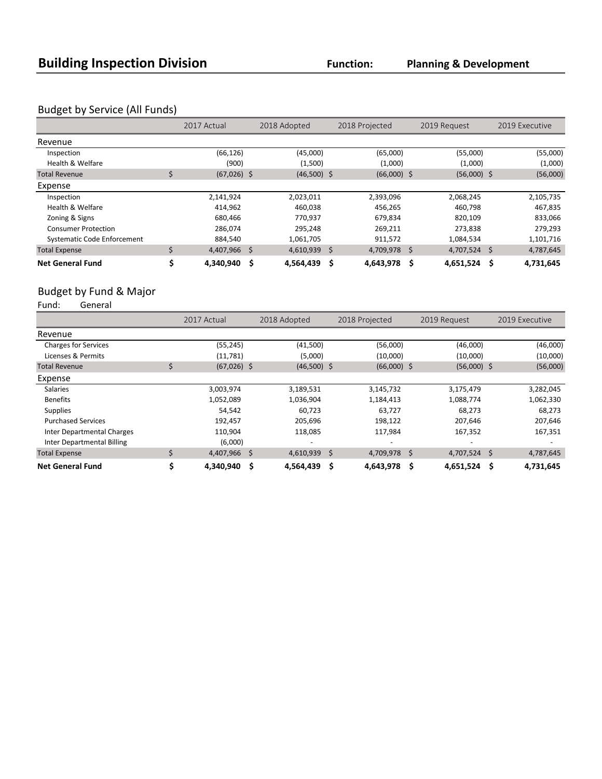**Planning & Development**

## Budget by Service (All Funds)

|                                    |    | 2017 Actual   |     | 2018 Adopted   |      | 2018 Projected |    | 2019 Request  | 2019 Executive |           |
|------------------------------------|----|---------------|-----|----------------|------|----------------|----|---------------|----------------|-----------|
| Revenue                            |    |               |     |                |      |                |    |               |                |           |
| Inspection                         |    | (66, 126)     |     | (45,000)       |      | (65,000)       |    | (55,000)      |                | (55,000)  |
| Health & Welfare                   |    | (900)         |     | (1,500)        |      | (1,000)        |    | (1,000)       |                | (1,000)   |
| <b>Total Revenue</b>               | \$ | $(67,026)$ \$ |     | $(46,500)$ \$  |      | $(66,000)$ \$  |    | $(56,000)$ \$ |                | (56,000)  |
| Expense                            |    |               |     |                |      |                |    |               |                |           |
| Inspection                         |    | 2,141,924     |     | 2,023,011      |      | 2,393,096      |    | 2,068,245     |                | 2,105,735 |
| Health & Welfare                   |    | 414,962       |     | 460,038        |      | 456,265        |    | 460,798       |                | 467,835   |
| Zoning & Signs                     |    | 680.466       |     | 770,937        |      | 679,834        |    | 820.109       |                | 833,066   |
| <b>Consumer Protection</b>         |    | 286,074       |     | 295,248        |      | 269,211        |    | 273,838       |                | 279,293   |
| <b>Systematic Code Enforcement</b> |    | 884,540       |     | 1,061,705      |      | 911,572        |    | 1,084,534     |                | 1,101,716 |
| <b>Total Expense</b>               | Ś  | 4,407,966 \$  |     | $4,610,939$ \$ |      | 4,709,978      | \$ | 4,707,524     | S.             | 4,787,645 |
| <b>Net General Fund</b>            |    | 4,340,940     | \$. | 4,564,439      | - \$ | 4,643,978      | S  | 4,651,524     | \$             | 4,731,645 |

## Budget by Fund & Major<br>Fund: General

General

|                                   |    | 2017 Actual   | 2018 Adopted    | 2018 Projected  | 2019 Request    | 2019 Executive   |
|-----------------------------------|----|---------------|-----------------|-----------------|-----------------|------------------|
| Revenue                           |    |               |                 |                 |                 |                  |
| <b>Charges for Services</b>       |    | (55, 245)     | (41,500)        | (56,000)        | (46,000)        | (46,000)         |
| Licenses & Permits                |    | (11,781)      | (5,000)         | (10,000)        | (10,000)        | (10,000)         |
| <b>Total Revenue</b>              | \$ | $(67,026)$ \$ | $(46,500)$ \$   | $(66,000)$ \$   | $(56,000)$ \$   | (56,000)         |
| Expense                           |    |               |                 |                 |                 |                  |
| <b>Salaries</b>                   |    | 3,003,974     | 3,189,531       | 3,145,732       | 3,175,479       | 3,282,045        |
| <b>Benefits</b>                   |    | 1,052,089     | 1,036,904       | 1,184,413       | 1,088,774       | 1,062,330        |
| <b>Supplies</b>                   |    | 54,542        | 60.723          | 63,727          | 68,273          | 68,273           |
| <b>Purchased Services</b>         |    | 192,457       | 205,696         | 198,122         | 207,646         | 207,646          |
| <b>Inter Departmental Charges</b> |    | 110,904       | 118,085         | 117,984         | 167,352         | 167,351          |
| <b>Inter Departmental Billing</b> |    | (6,000)       | -               |                 |                 |                  |
| <b>Total Expense</b>              | Ś  | 4,407,966 \$  | $4,610,939$ \$  | 4,709,978 \$    | 4,707,524       | -\$<br>4,787,645 |
| <b>Net General Fund</b>           |    | 4,340,940     | \$<br>4,564,439 | -S<br>4,643,978 | \$<br>4,651,524 | \$<br>4,731,645  |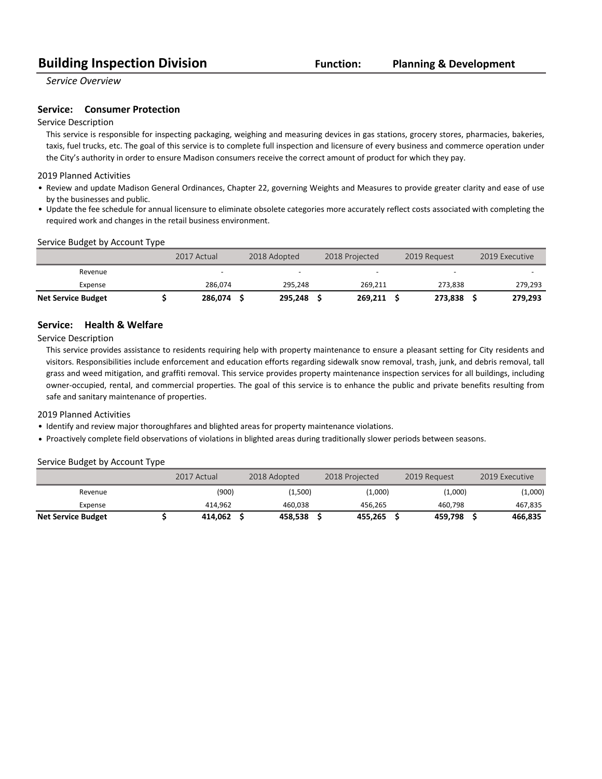## **Building Inspection Division Function:**

#### **Planning & Development**

*Service Overview*

#### **Service:** Consumer Protection

#### Service Description

This service is responsible for inspecting packaging, weighing and measuring devices in gas stations, grocery stores, pharmacies, bakeries, taxis, fuel trucks, etc. The goal of this service is to complete full inspection and licensure of every business and commerce operation under the City's authority in order to ensure Madison consumers receive the correct amount of product for which they pay.

#### 2019 Planned Activities

- Review and update Madison General Ordinances, Chapter 22, governing Weights and Measures to provide greater clarity and ease of use by the businesses and public.
- Update the fee schedule for annual licensure to eliminate obsolete categories more accurately reflect costs associated with completing the required work and changes in the retail business environment.

#### Service Budget by Account Type

|                           | 2017 Actual | 2018 Adopted | 2018 Projected | 2019 Request | 2019 Executive |
|---------------------------|-------------|--------------|----------------|--------------|----------------|
| Revenue                   | -           | -            |                | -            |                |
| Expense                   | 286.074     | 295.248      | 269,211        | 273.838      | 279,293        |
| <b>Net Service Budget</b> | 286,074     | 295.248      | 269,211        | 273.838      | 279,293        |

#### **Service: Health & Welfare**

Service Description

This service provides assistance to residents requiring help with property maintenance to ensure a pleasant setting for City residents and visitors. Responsibilities include enforcement and education efforts regarding sidewalk snow removal, trash, junk, and debris removal, tall grass and weed mitigation, and graffiti removal. This service provides property maintenance inspection services for all buildings, including owner-occupied, rental, and commercial properties. The goal of this service is to enhance the public and private benefits resulting from safe and sanitary maintenance of properties.

#### 2019 Planned Activities

- Identify and review major thoroughfares and blighted areas for property maintenance violations.
- Proactively complete field observations of violations in blighted areas during traditionally slower periods between seasons.

#### Service Budget by Account Type

|                           | 2017 Actual | 2018 Adopted | 2018 Projected | 2019 Request | 2019 Executive |
|---------------------------|-------------|--------------|----------------|--------------|----------------|
| Revenue                   | (900)       | (1,500)      | (1,000)        | (1,000)      | (1,000)        |
| Expense                   | 414.962     | 460.038      | 456.265        | 460.798      | 467,835        |
| <b>Net Service Budget</b> | 414.062     | 458.538      | 455.265        | 459.798      | 466,835        |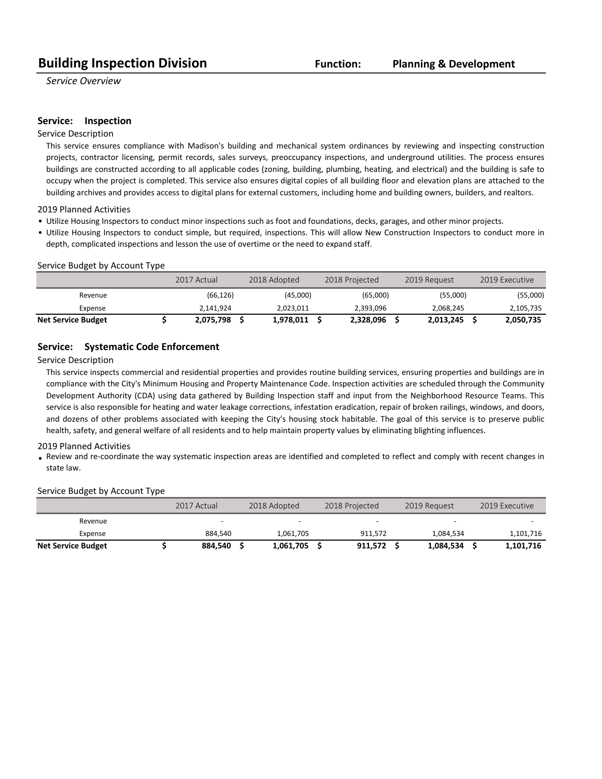*Service Overview*

#### **Service:** Inspection

#### Service Description

This service ensures compliance with Madison's building and mechanical system ordinances by reviewing and inspecting construction projects, contractor licensing, permit records, sales surveys, preoccupancy inspections, and underground utilities. The process ensures buildings are constructed according to all applicable codes (zoning, building, plumbing, heating, and electrical) and the building is safe to occupy when the project is completed. This service also ensures digital copies of all building floor and elevation plans are attached to the building archives and provides access to digital plans for external customers, including home and building owners, builders, and realtors.

2019 Planned Activities

- Utilize Housing Inspectors to conduct minor inspections such as foot and foundations, decks, garages, and other minor projects.
- Utilize Housing Inspectors to conduct simple, but required, inspections. This will allow New Construction Inspectors to conduct more in depth, complicated inspections and lesson the use of overtime or the need to expand staff.

#### Service Budget by Account Type

|                           | 2017 Actual | 2018 Adopted | 2018 Projected | 2019 Request | 2019 Executive |
|---------------------------|-------------|--------------|----------------|--------------|----------------|
| Revenue                   | (66, 126)   | (45,000)     | (65,000)       | (55,000)     | (55,000)       |
| Expense                   | 2.141.924   | 2.023.011    | 2.393.096      | 2.068.245    | 2,105,735      |
| <b>Net Service Budget</b> | 2,075,798   | 1,978,011    | 2,328,096      | 2,013,245    | 2,050,735      |

#### **Service:** Systematic Code Enforcement

Service Description

This service inspects commercial and residential properties and provides routine building services, ensuring properties and buildings are in compliance with the City's Minimum Housing and Property Maintenance Code. Inspection activities are scheduled through the Community Development Authority (CDA) using data gathered by Building Inspection staff and input from the Neighborhood Resource Teams. This service is also responsible for heating and water leakage corrections, infestation eradication, repair of broken railings, windows, and doors, and dozens of other problems associated with keeping the City's housing stock habitable. The goal of this service is to preserve public health, safety, and general welfare of all residents and to help maintain property values by eliminating blighting influences.

#### 2019 Planned Activities

• Review and re-coordinate the way systematic inspection areas are identified and completed to reflect and comply with recent changes in state law.

#### Service Budget by Account Type

|                           | 2017 Actual | 2018 Adopted | 2018 Projected | 2019 Request | 2019 Executive |
|---------------------------|-------------|--------------|----------------|--------------|----------------|
| Revenue                   | -           | -            | -              | -            |                |
| Expense                   | 884.540     | 1,061,705    | 911.572        | 1.084.534    | 1,101,716      |
| <b>Net Service Budget</b> | 884,540     | 1,061,705    | 911.572        | 1,084,534    | 1,101,716      |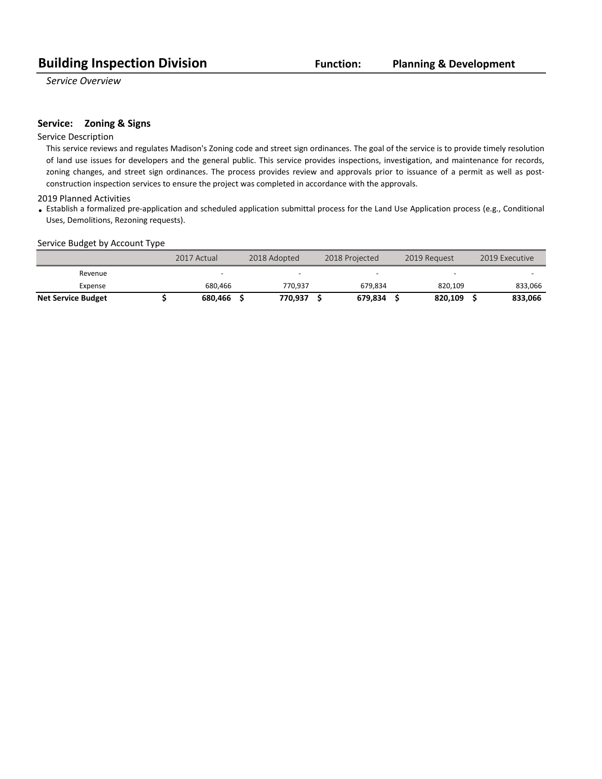*Service Overview*

#### **Service:** Zoning & Signs

#### Service Description

This service reviews and regulates Madison's Zoning code and street sign ordinances. The goal of the service is to provide timely resolution of land use issues for developers and the general public. This service provides inspections, investigation, and maintenance for records, zoning changes, and street sign ordinances. The process provides review and approvals prior to issuance of a permit as well as postconstruction inspection services to ensure the project was completed in accordance with the approvals.

#### 2019 Planned Activities

• Establish a formalized pre-application and scheduled application submittal process for the Land Use Application process (e.g., Conditional Uses, Demolitions, Rezoning requests).

#### Service Budget by Account Type

|                           | 2017 Actual | 2018 Adopted | 2018 Projected           | 2019 Request             | 2019 Executive |
|---------------------------|-------------|--------------|--------------------------|--------------------------|----------------|
| Revenue                   | -           |              | $\overline{\phantom{0}}$ | $\overline{\phantom{0}}$ |                |
| Expense                   | 680.466     | 770.937      | 679.834                  | 820.109                  | 833.066        |
| <b>Net Service Budget</b> | 680.466     | 770.937      | 679.834                  | 820.109                  | 833.066        |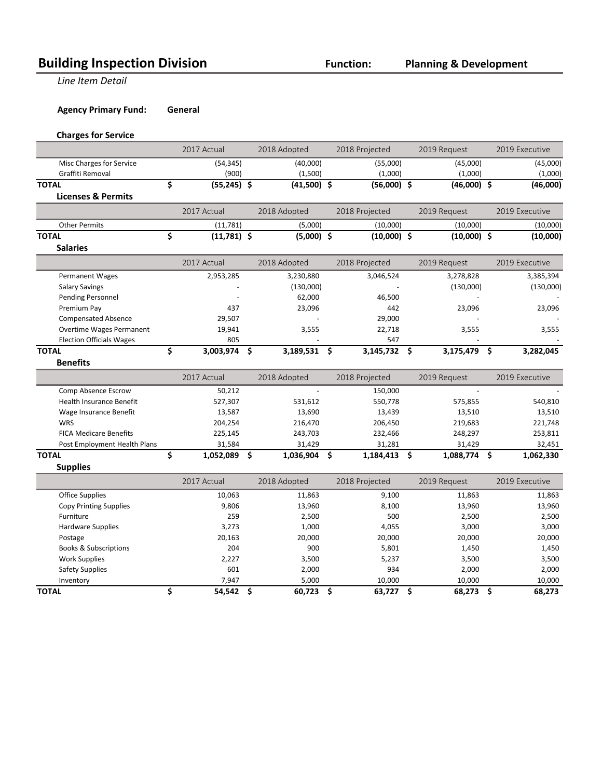## **Building Inspection Division Function:**

**Line Item Detail** 

**Agency Primary Fund: General** 

#### **Charges for Service**

|                                  | 2017 Actual         | 2018 Adopted       |                     | 2018 Projected |                     | 2019 Request  | 2019 Executive  |
|----------------------------------|---------------------|--------------------|---------------------|----------------|---------------------|---------------|-----------------|
| Misc Charges for Service         | (54, 345)           | (40,000)           |                     | (55,000)       |                     | (45,000)      | (45,000)        |
| Graffiti Removal                 | (900)               | (1,500)            |                     | (1,000)        |                     | (1,000)       | (1,000)         |
| <b>TOTAL</b>                     | \$<br>$(55,245)$ \$ | $(41,500)$ \$      |                     | $(56,000)$ \$  |                     | $(46,000)$ \$ | (46,000)        |
| <b>Licenses &amp; Permits</b>    |                     |                    |                     |                |                     |               |                 |
|                                  | 2017 Actual         | 2018 Adopted       |                     | 2018 Projected |                     | 2019 Request  | 2019 Executive  |
| <b>Other Permits</b>             | (11,781)            | (5,000)            |                     | (10,000)       |                     | (10,000)      | (10,000)        |
| <b>TOTAL</b>                     | \$<br>$(11,781)$ \$ | $(5,000)$ \$       |                     | $(10,000)$ \$  |                     | $(10,000)$ \$ | (10,000)        |
| <b>Salaries</b>                  |                     |                    |                     |                |                     |               |                 |
|                                  | 2017 Actual         | 2018 Adopted       |                     | 2018 Projected |                     | 2019 Request  | 2019 Executive  |
| <b>Permanent Wages</b>           | 2,953,285           | 3,230,880          |                     | 3,046,524      |                     | 3,278,828     | 3,385,394       |
| <b>Salary Savings</b>            |                     | (130,000)          |                     |                |                     | (130,000)     | (130,000)       |
| <b>Pending Personnel</b>         |                     | 62,000             |                     | 46,500         |                     |               |                 |
| Premium Pay                      | 437                 | 23,096             |                     | 442            |                     | 23,096        | 23,096          |
| <b>Compensated Absence</b>       | 29,507              |                    |                     | 29,000         |                     |               |                 |
| Overtime Wages Permanent         | 19,941              | 3,555              |                     | 22,718         |                     | 3,555         | 3,555           |
| <b>Election Officials Wages</b>  | 805                 |                    |                     | 547            |                     |               |                 |
| <b>TOTAL</b>                     | \$<br>3,003,974     | \$<br>3,189,531 \$ |                     | 3,145,732      | \$                  | 3,175,479     | \$<br>3,282,045 |
| <b>Benefits</b>                  |                     |                    |                     |                |                     |               |                 |
|                                  | 2017 Actual         | 2018 Adopted       |                     | 2018 Projected |                     | 2019 Request  | 2019 Executive  |
| Comp Absence Escrow              | 50,212              |                    |                     | 150,000        |                     |               |                 |
| Health Insurance Benefit         | 527,307             | 531,612            |                     | 550,778        |                     | 575,855       | 540,810         |
| Wage Insurance Benefit           | 13,587              | 13,690             |                     | 13,439         |                     | 13,510        | 13,510          |
| <b>WRS</b>                       | 204,254             | 216,470            |                     | 206,450        |                     | 219,683       | 221,748         |
| <b>FICA Medicare Benefits</b>    | 225,145             | 243,703            |                     | 232,466        |                     | 248,297       | 253,811         |
| Post Employment Health Plans     | 31,584              | 31,429             |                     | 31,281         |                     | 31,429        | 32,451          |
| <b>TOTAL</b>                     | \$<br>1,052,089 \$  | $1,036,904$ \$     |                     | 1,184,413      | \$                  | 1,088,774 \$  | 1,062,330       |
| <b>Supplies</b>                  |                     |                    |                     |                |                     |               |                 |
|                                  | 2017 Actual         | 2018 Adopted       |                     | 2018 Projected |                     | 2019 Request  | 2019 Executive  |
| Office Supplies                  | 10,063              | 11,863             |                     | 9,100          |                     | 11,863        | 11,863          |
| <b>Copy Printing Supplies</b>    | 9,806               | 13,960             |                     | 8,100          |                     | 13,960        | 13,960          |
| Furniture                        | 259                 | 2,500              |                     | 500            |                     | 2,500         | 2,500           |
| <b>Hardware Supplies</b>         | 3,273               | 1,000              |                     | 4,055          |                     | 3,000         | 3,000           |
| Postage                          | 20,163              | 20,000             |                     | 20,000         |                     | 20,000        | 20,000          |
| <b>Books &amp; Subscriptions</b> | 204                 | 900                |                     | 5,801          |                     | 1,450         | 1,450           |
| <b>Work Supplies</b>             | 2,227               | 3,500              |                     | 5,237          |                     | 3,500         | 3,500           |
| <b>Safety Supplies</b>           | 601                 | 2,000              |                     | 934            |                     | 2,000         | 2,000           |
| Inventory                        | 7,947               | 5,000              |                     | 10,000         |                     | 10,000        | 10,000          |
| <b>TOTAL</b>                     | \$<br>54,542        | \$<br>60,723       | $\ddot{\bm{\zeta}}$ | 63,727         | $\ddot{\bm{\zeta}}$ | 68,273        | \$<br>68,273    |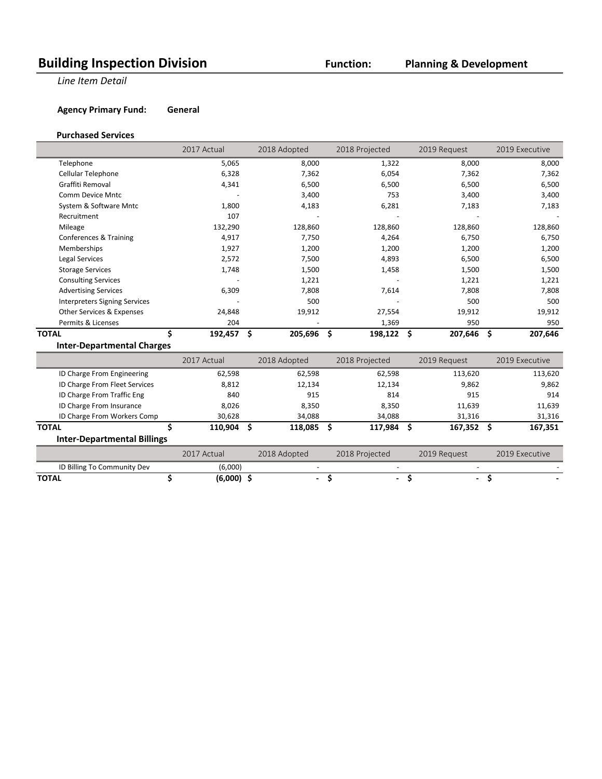## **Building Inspection Division Function:**

### **Planning & Development**

**Line Item Detail** 

**Agency Primary Fund: General** 

#### **Purchased Services**

|                                      | 2017 Actual              | 2018 Adopted  | 2018 Projected | 2019 Request  | 2019 Executive |
|--------------------------------------|--------------------------|---------------|----------------|---------------|----------------|
| Telephone                            | 5,065                    | 8,000         | 1,322          | 8,000         | 8,000          |
| Cellular Telephone                   | 6,328                    | 7,362         | 6,054          | 7,362         | 7,362          |
| Graffiti Removal                     | 4,341                    | 6,500         | 6,500          | 6,500         | 6,500          |
| Comm Device Mntc                     | $\overline{\phantom{a}}$ | 3,400         | 753            | 3,400         | 3,400          |
| System & Software Mntc               | 1,800                    | 4,183         | 6,281          | 7,183         | 7,183          |
| Recruitment                          | 107                      |               |                |               |                |
| Mileage                              | 132,290                  | 128,860       | 128,860        | 128,860       | 128,860        |
| Conferences & Training               | 4,917                    | 7,750         | 4,264          | 6,750         | 6,750          |
| Memberships                          | 1,927                    | 1,200         | 1,200          | 1,200         | 1,200          |
| Legal Services                       | 2,572                    | 7,500         | 4,893          | 6,500         | 6,500          |
| <b>Storage Services</b>              | 1,748                    | 1,500         | 1,458          | 1,500         | 1,500          |
| <b>Consulting Services</b>           |                          | 1,221         |                | 1,221         | 1,221          |
| <b>Advertising Services</b>          | 6,309                    | 7,808         | 7,614          | 7,808         | 7,808          |
| <b>Interpreters Signing Services</b> |                          | 500           |                | 500           | 500            |
| Other Services & Expenses            | 24,848                   | 19,912        | 27,554         | 19,912        | 19,912         |
| Permits & Licenses                   | 204                      |               | 1,369          | 950           | 950            |
| TOTAL                                | Ś<br>192,457             | \$<br>205,696 | -\$<br>198,122 | \$<br>207,646 | \$<br>207,646  |
| <b>Inter-Departmental Charges</b>    |                          |               |                |               |                |

|                                    | 2017 Actual | 2018 Adopted |     | 2018 Projected           | 2019 Request | 2019 Executive |
|------------------------------------|-------------|--------------|-----|--------------------------|--------------|----------------|
| ID Charge From Engineering         | 62,598      | 62,598       |     | 62,598                   | 113,620      | 113,620        |
| ID Charge From Fleet Services      | 8,812       | 12,134       |     | 12,134                   | 9,862        | 9,862          |
| ID Charge From Traffic Eng         | 840         | 915          |     | 814                      | 915          | 914            |
| ID Charge From Insurance           | 8,026       | 8,350        |     | 8,350                    | 11,639       | 11,639         |
| ID Charge From Workers Comp        | 30,628      | 34,088       |     | 34,088                   | 31,316       | 31,316         |
| <b>TOTAL</b>                       | 110.904     | 118,085      | - S | 117,984                  | 167,352      | 167,351        |
| <b>Inter-Departmental Billings</b> |             |              |     |                          |              |                |
|                                    | 2017 Actual | 2018 Adopted |     | 2018 Projected           | 2019 Request | 2019 Executive |
| ID Billing To Community Dev        | (6,000)     |              |     | $\overline{\phantom{0}}$ |              |                |

**TOTAL \$ (6,000) \$ - \$ - \$ - \$ -**